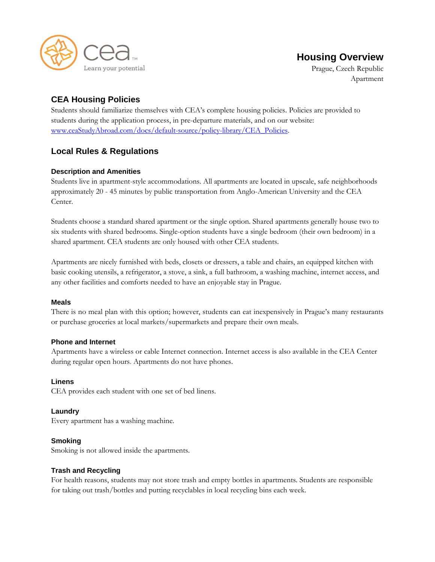

# **Housing Overview**

Prague, Czech Republic Apartment

## **CEA Housing Policies**

Students should familiarize themselves with CEA's complete housing policies. Policies are provided to students during the application process, in pre-departure materials, and on our website: [www.ceaStudyAbroad.com/docs/default-source/policy-library/CEA\\_Policies.](http://www.ceastudyabroad.com/docs/default-source/policy-library/CEA_Policies)

## **Local Rules & Regulations**

## **Description and Amenities**

Students live in apartment-style accommodations. All apartments are located in upscale, safe neighborhoods approximately 20 - 45 minutes by public transportation from Anglo-American University and the CEA Center.

Students choose a standard shared apartment or the single option. Shared apartments generally house two to six students with shared bedrooms. Single-option students have a single bedroom (their own bedroom) in a shared apartment. CEA students are only housed with other CEA students.

Apartments are nicely furnished with beds, closets or dressers, a table and chairs, an equipped kitchen with basic cooking utensils, a refrigerator, a stove, a sink, a full bathroom, a washing machine, internet access, and any other facilities and comforts needed to have an enjoyable stay in Prague.

## **Meals**

There is no meal plan with this option; however, students can eat inexpensively in Prague's many restaurants or purchase groceries at local markets/supermarkets and prepare their own meals.

## **Phone and Internet**

Apartments have a wireless or cable Internet connection. Internet access is also available in the CEA Center during regular open hours. Apartments do not have phones.

#### **Linens**

CEA provides each student with one set of bed linens.

## **Laundry**

Every apartment has a washing machine.

## **Smoking**

Smoking is not allowed inside the apartments.

#### **Trash and Recycling**

For health reasons, students may not store trash and empty bottles in apartments. Students are responsible for taking out trash/bottles and putting recyclables in local recycling bins each week.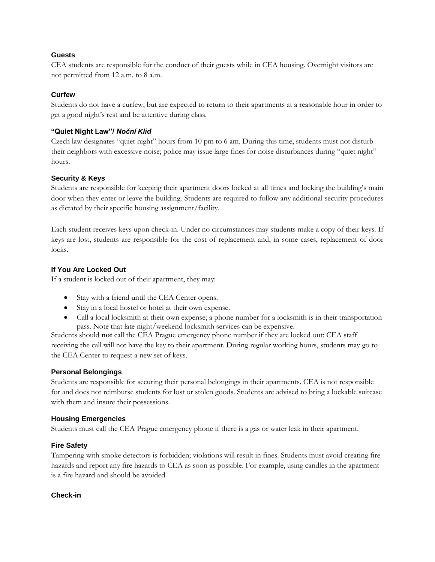#### **Guests**

CEA students are responsible for the conduct of their guests while in CEA housing. Overnight visitors are not permitted from 12 a.m. to 8 a.m.

#### **Curfew**

Students do not have a curfew, but are expected to return to their apartments at a reasonable hour in order to get a good night's rest and be attentive during class.

#### **"Quiet Night Law"/** *Noční Klid*

Czech law designates "quiet night" hours from 10 pm to 6 am. During this time, students must not disturb their neighbors with excessive noise; police may issue large fines for noise disturbances during "quiet night" hours.

#### **Security & Keys**

Students are responsible for keeping their apartment doors locked at all times and locking the building's main door when they enter or leave the building. Students are required to follow any additional security procedures as dictated by their specific housing assignment/facility.

Each student receives keys upon check-in. Under no circumstances may students make a copy of their keys. If keys are lost, students are responsible for the cost of replacement and, in some cases, replacement of door locks.

#### **If You Are Locked Out**

If a student is locked out of their apartment, they may:

- Stay with a friend until the CEA Center opens.
- Stay in a local hostel or hotel at their own expense.
- Call a local locksmith at their own expense; a phone number for a locksmith is in their transportation pass. Note that late night/weekend locksmith services can be expensive.

Students should **not** call the CEA Prague emergency phone number if they are locked out; CEA staff receiving the call will not have the key to their apartment. During regular working hours, students may go to the CEA Center to request a new set of keys.

#### **Personal Belongings**

Students are responsible for securing their personal belongings in their apartments. CEA is not responsible for and does not reimburse students for lost or stolen goods. Students are advised to bring a lockable suitcase with them and insure their possessions.

#### **Housing Emergencies**

Students must call the CEA Prague emergency phone if there is a gas or water leak in their apartment.

#### **Fire Safety**

Tampering with smoke detectors is forbidden; violations will result in fines. Students must avoid creating fire hazards and report any fire hazards to CEA as soon as possible. For example, using candles in the apartment is a fire hazard and should be avoided.

#### **Check-in**